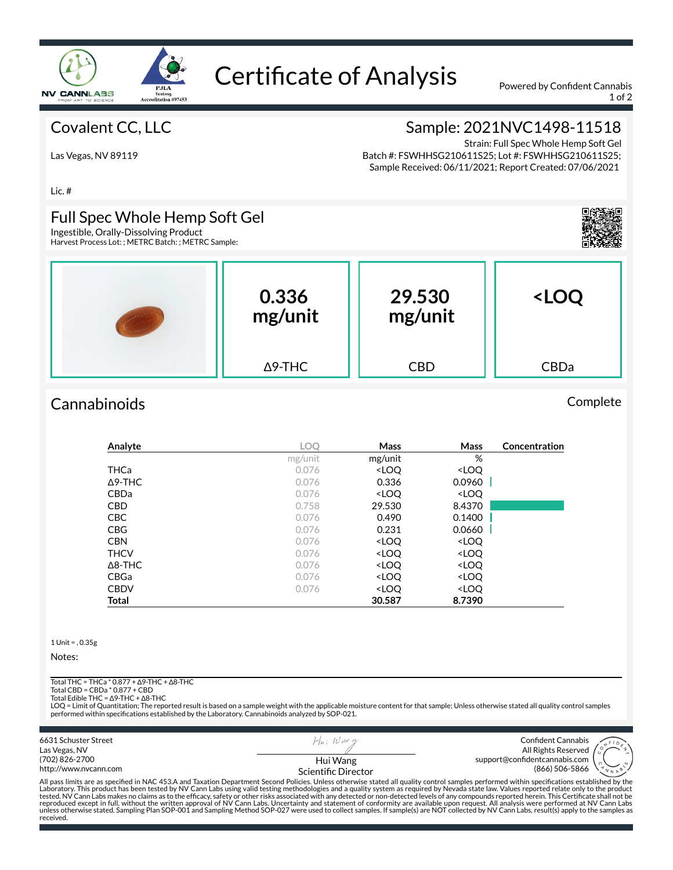

# Certificate of Analysis Powered by Confident Cannabis

1 of 2

## Covalent CC, LLC

# Sample: 2021NVC1498-11518

Las Vegas, NV 89119

Strain: Full Spec Whole Hemp Soft Gel Batch #: FSWHHSG210611S25; Lot #: FSWHHSG210611S25; Sample Received: 06/11/2021; Report Created: 07/06/2021

Lic. #

#### Full Spec Whole Hemp Soft Gel

Ingestible, Orally-Dissolving Product Harvest Process Lot: ; METRC Batch: ; METRC Sample:



| المعدود وروده | 0.336<br>mg/unit | 29.530<br>mg/unit | <loq< th=""></loq<> |
|---------------|------------------|-------------------|---------------------|
|               | $\Delta$ 9-THC   | <b>CBD</b>        | CBDa                |

# Cannabinoids Complete

| Analyte        | <b>LOO</b> | Mass                                                     | Mass                         | Concentration |
|----------------|------------|----------------------------------------------------------|------------------------------|---------------|
|                | mg/unit    | mg/unit                                                  | %                            |               |
| THCa           | 0.076      | <loq< th=""><th><loq< th=""><th></th></loq<></th></loq<> | <loq< th=""><th></th></loq<> |               |
| $\Delta$ 9-THC | 0.076      | 0.336                                                    | 0.0960                       |               |
| <b>CBDa</b>    | 0.076      | <loq< th=""><th><loq< th=""><th></th></loq<></th></loq<> | <loq< th=""><th></th></loq<> |               |
| <b>CBD</b>     | 0.758      | 29.530                                                   | 8.4370                       |               |
| <b>CBC</b>     | 0.076      | 0.490                                                    | 0.1400                       |               |
| <b>CBG</b>     | 0.076      | 0.231                                                    | 0.0660                       |               |
| <b>CBN</b>     | 0.076      | <loq< th=""><th><loq< th=""><th></th></loq<></th></loq<> | <loq< th=""><th></th></loq<> |               |
| <b>THCV</b>    | 0.076      | <loq< th=""><th><loq< th=""><th></th></loq<></th></loq<> | <loq< th=""><th></th></loq<> |               |
| $\Delta$ 8-THC | 0.076      | <loq< th=""><th><loq< th=""><th></th></loq<></th></loq<> | <loq< th=""><th></th></loq<> |               |
| CBGa           | 0.076      | <loq< th=""><th><loq< th=""><th></th></loq<></th></loq<> | <loq< th=""><th></th></loq<> |               |
| <b>CBDV</b>    | 0.076      | <loq< th=""><th><loq< th=""><th></th></loq<></th></loq<> | <loq< th=""><th></th></loq<> |               |
| Total          |            | 30.587                                                   | 8.7390                       |               |

1 Unit = , 0.35g

Notes:

received.

Total THC = THCa \* 0.877 + ∆9-THC + ∆8-THC

Total CBD = CBDa \* 0.877 + CBD

Total Edible THC = ∆9-THC + ∆8-THC

LOQ = Limit of Quantitation; The reported result is based on a sample weight with the applicable moisture content for that sample; Unless otherwise stated all quality control samples<br>performed within specifications establi

6631 Schuster Street  $H|_n$ ; Wax Confident Cannabis Las Vegas, NV All Rights Reserved (702) 826-2700 Hui Wang support@confidentcannabis.com (866) 506-5866 http://www.nvcann.com Scientific Director All pass limits are as specified in NAC 453.A and Taxation Department Second Policies. Unless otherwise stated all quality control samples performed within specifications established by the<br>Laboratory. This product has bee tested. NV Cann Labs makes no claims as to the efficacy, safety or other risks associated with any detected or non-detected levels of any compounds reported herein. This Certificate shall not be<br>reproduced except in full,